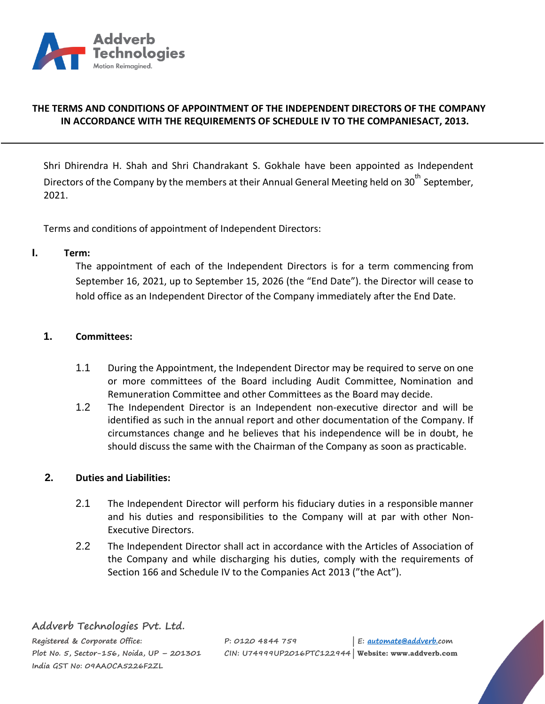

## **THE TERMS AND CONDITIONS OF APPOINTMENT OF THE INDEPENDENT DIRECTORS OF THE COMPANY IN ACCORDANCE WITH THE REQUIREMENTS OF SCHEDULE IV TO THE COMPANIESACT, 2013.**

Shri Dhirendra H. Shah and Shri Chandrakant S. Gokhale have been appointed as Independent Directors of the Company by the members at their Annual General Meeting held on 30<sup>th</sup> September, 2021.

Terms and conditions of appointment of Independent Directors:

#### **I. Term:**

The appointment of each of the Independent Directors is for a term commencing from September 16, 2021, up to September 15, 2026 (the "End Date"). the Director will cease to hold office as an Independent Director of the Company immediately after the End Date.

#### **1. Committees:**

- 1.1 During the Appointment, the Independent Director may be required to serve on one or more committees of the Board including Audit Committee, Nomination and Remuneration Committee and other Committees as the Board may decide.
- 1.2 The Independent Director is an Independent non-executive director and will be identified as such in the annual report and other documentation of the Company. If circumstances change and he believes that his independence will be in doubt, he should discuss the same with the Chairman of the Company as soon as practicable.

#### **2. Duties and Liabilities:**

- 2.1 The Independent Director will perform his fiduciary duties in a responsible manner and his duties and responsibilities to the Company will at par with other Non-Executive Directors.
- 2.2 The Independent Director shall act in accordance with the Articles of Association of the Company and while discharging his duties, comply with the requirements of Section 166 and Schedule IV to the Companies Act 2013 ("the Act").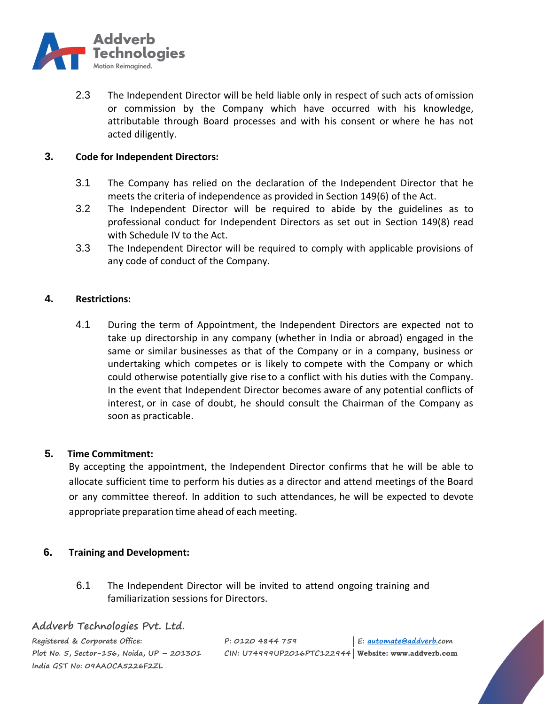

2.3 The Independent Director will be held liable only in respect of such acts of omission or commission by the Company which have occurred with his knowledge, attributable through Board processes and with his consent or where he has not acted diligently.

### **3. Code for Independent Directors:**

- 3.1 The Company has relied on the declaration of the Independent Director that he meets the criteria of independence as provided in Section 149(6) of the Act.
- 3.2 The Independent Director will be required to abide by the guidelines as to professional conduct for Independent Directors as set out in Section 149(8) read with Schedule IV to the Act.
- 3.3 The Independent Director will be required to comply with applicable provisions of any code of conduct of the Company.

## **4. Restrictions:**

4.1 During the term of Appointment, the Independent Directors are expected not to take up directorship in any company (whether in India or abroad) engaged in the same or similar businesses as that of the Company or in a company, business or undertaking which competes or is likely to compete with the Company or which could otherwise potentially give rise to a conflict with his duties with the Company. In the event that Independent Director becomes aware of any potential conflicts of interest, or in case of doubt, he should consult the Chairman of the Company as soon as practicable.

# **5. Time Commitment:**

By accepting the appointment, the Independent Director confirms that he will be able to allocate sufficient time to perform his duties as a director and attend meetings of the Board or any committee thereof. In addition to such attendances, he will be expected to devote appropriate preparation time ahead of each meeting.

# **6. Training and Development:**

6.1 The Independent Director will be invited to attend ongoing training and familiarization sessions for Directors.

#### **Addverb Technologies Pvt. Ltd.**

**Registered & Corporate Office: P: 0120 4844 759 | E: [automate@addverb.c](mailto:automate@addverb.)om Plot No. 5, Sector-156, Noida, UP – 201301 CIN: U74999UP2016PTC122944 | Website: www.addverb.com India GST No: 09AAOCA5226F2ZL**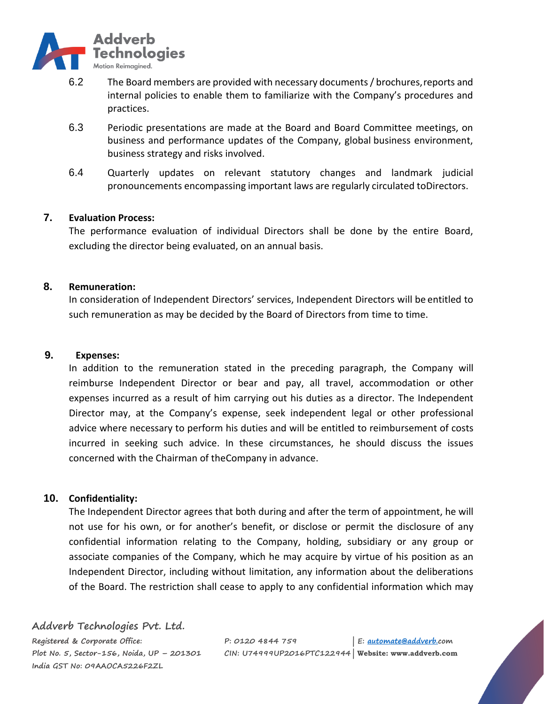

- 6.2 The Board members are provided with necessary documents/ brochures,reports and internal policies to enable them to familiarize with the Company's procedures and practices.
- 6.3 Periodic presentations are made at the Board and Board Committee meetings, on business and performance updates of the Company, global business environment, business strategy and risks involved.
- 6.4 Quarterly updates on relevant statutory changes and landmark judicial pronouncements encompassing important laws are regularly circulated toDirectors.

## **7. Evaluation Process:**

The performance evaluation of individual Directors shall be done by the entire Board, excluding the director being evaluated, on an annual basis.

#### **8. Remuneration:**

In consideration of Independent Directors' services, Independent Directors will be entitled to such remuneration as may be decided by the Board of Directors from time to time.

#### **9. Expenses:**

In addition to the remuneration stated in the preceding paragraph, the Company will reimburse Independent Director or bear and pay, all travel, accommodation or other expenses incurred as a result of him carrying out his duties as a director. The Independent Director may, at the Company's expense, seek independent legal or other professional advice where necessary to perform his duties and will be entitled to reimbursement of costs incurred in seeking such advice. In these circumstances, he should discuss the issues concerned with the Chairman of theCompany in advance.

# **10. Confidentiality:**

The Independent Director agrees that both during and after the term of appointment, he will not use for his own, or for another's benefit, or disclose or permit the disclosure of any confidential information relating to the Company, holding, subsidiary or any group or associate companies of the Company, which he may acquire by virtue of his position as an Independent Director, including without limitation, any information about the deliberations of the Board. The restriction shall cease to apply to any confidential information which may

**Addverb Technologies Pvt. Ltd. India GST No: 09AAOCA5226F2ZL**